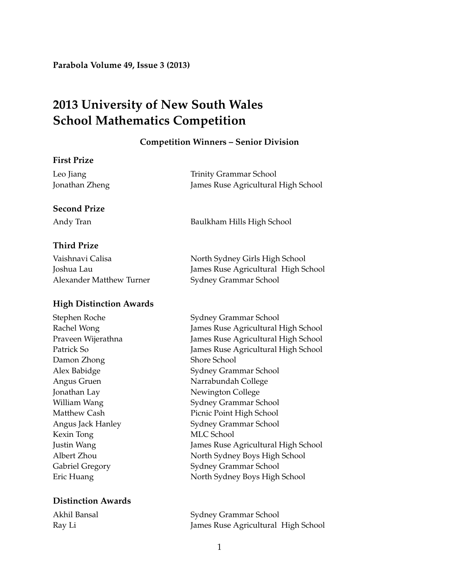**Parabola Volume 49, Issue 3 (2013)**

# **2013 University of New South Wales School Mathematics Competition**

#### **Competition Winners – Senior Division**

### **First Prize**

| Leo Jiang      | Trinity Grammar School              |
|----------------|-------------------------------------|
| Jonathan Zheng | James Ruse Agricultural High School |

### **Second Prize**

Andy Tran Baulkham Hills High School

# **Third Prize**

| Vaishnavi Calisa         | North Sydney Girls High School      |
|--------------------------|-------------------------------------|
| Joshua Lau               | James Ruse Agricultural High School |
| Alexander Matthew Turner | Sydney Grammar School               |

## **High Distinction Awards**

Damon Zhong Shore School Jonathan Lay Newington College Kexin Tong MLC School

# **Distinction Awards**

Stephen Roche Sydney Grammar School Rachel Wong James Ruse Agricultural High School Praveen Wijerathna James Ruse Agricultural High School Patrick So James Ruse Agricultural High School Alex Babidge Sydney Grammar School Angus Gruen Narrabundah College William Wang Sydney Grammar School Matthew Cash **Picnic Point High School** Angus Jack Hanley Sydney Grammar School Justin Wang James Ruse Agricultural High School Albert Zhou North Sydney Boys High School Gabriel Gregory Sydney Grammar School Eric Huang North Sydney Boys High School

Akhil Bansal Sydney Grammar School Ray Li James Ruse Agricultural High School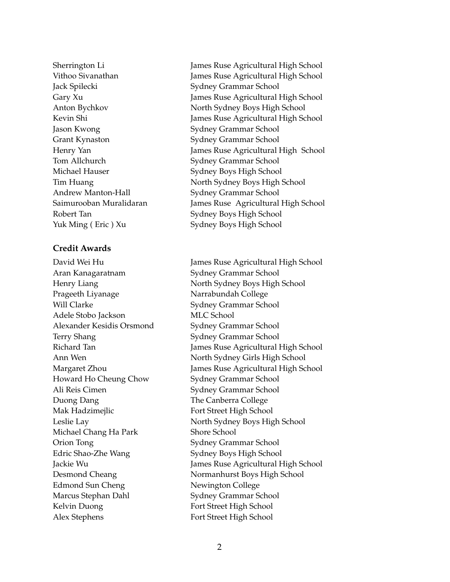Jack Spilecki Sydney Grammar School Jason Kwong Sydney Grammar School Grant Kynaston Sydney Grammar School Tom Allchurch Sydney Grammar School Michael Hauser Sydney Boys High School Andrew Manton-Hall Sydney Grammar School

# **Credit Awards**

Aran Kanagaratnam Sydney Grammar School Prageeth Liyanage Narrabundah College Will Clarke Sydney Grammar School Adele Stobo Jackson MLC School Alexander Kesidis Orsmond Sydney Grammar School Terry Shang Sydney Grammar School Howard Ho Cheung Chow Sydney Grammar School Ali Reis Cimen Sydney Grammar School Duong Dang The Canberra College Mak Hadzimejlic Fort Street High School Michael Chang Ha Park Shore School Orion Tong Sydney Grammar School Edric Shao-Zhe Wang Sydney Boys High School Edmond Sun Cheng Newington College Marcus Stephan Dahl Sydney Grammar School Kelvin Duong **Fort Street High School** Alex Stephens Fort Street High School

Sherrington Li James Ruse Agricultural High School Vithoo Sivanathan James Ruse Agricultural High School Gary Xu James Ruse Agricultural High School Anton Bychkov North Sydney Boys High School Kevin Shi James Ruse Agricultural High School Henry Yan James Ruse Agricultural High School Tim Huang North Sydney Boys High School Saimurooban Muralidaran James Ruse Agricultural High School Robert Tan Sydney Boys High School Yuk Ming ( Eric ) Xu Sydney Boys High School

David Wei Hu James Ruse Agricultural High School Henry Liang North Sydney Boys High School Richard Tan James Ruse Agricultural High School Ann Wen North Sydney Girls High School Margaret Zhou James Ruse Agricultural High School Leslie Lay North Sydney Boys High School Jackie Wu James Ruse Agricultural High School Desmond Cheang Normanhurst Boys High School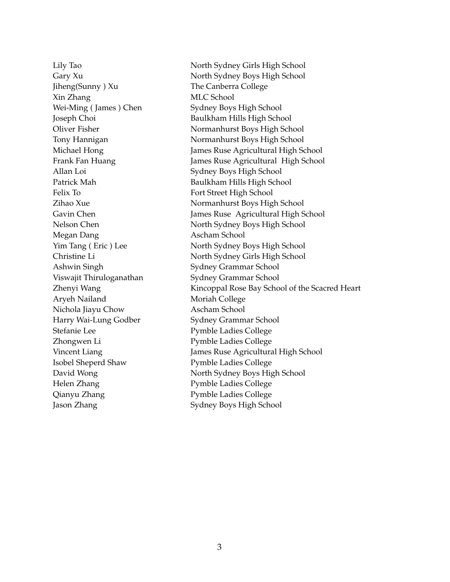Jiheng(Sunny ) Xu The Canberra College Xin Zhang MLC School Wei-Ming (James) Chen Sydney Boys High School Joseph Choi Baulkham Hills High School Allan Loi Sydney Boys High School Patrick Mah Baulkham Hills High School Felix To Fort Street High School Megan Dang **Ascham School** Ashwin Singh Sydney Grammar School Viswajit Thiruloganathan Sydney Grammar School Aryeh Nailand Moriah College Nichola Jiayu Chow Ascham School Harry Wai-Lung Godber Sydney Grammar School Stefanie Lee Pymble Ladies College Zhongwen Li Pymble Ladies College Isobel Sheperd Shaw Pymble Ladies College Helen Zhang Pymble Ladies College Qianyu Zhang Pymble Ladies College Jason Zhang Sydney Boys High School

Lily Tao North Sydney Girls High School Gary Xu **North Sydney Boys High School** Oliver Fisher Normanhurst Boys High School Tony Hannigan Normanhurst Boys High School Michael Hong James Ruse Agricultural High School Frank Fan Huang James Ruse Agricultural High School Zihao Xue Normanhurst Boys High School Gavin Chen James Ruse Agricultural High School Nelson Chen North Sydney Boys High School Yim Tang (Eric) Lee North Sydney Boys High School Christine Li North Sydney Girls High School Zhenyi Wang The Kincoppal Rose Bay School of the Scacred Heart Vincent Liang James Ruse Agricultural High School David Wong North Sydney Boys High School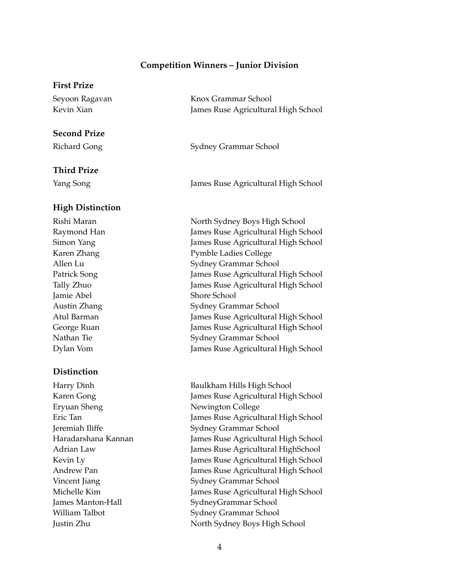#### **Competition Winners – Junior Division**

#### **First Prize**

| Seyoon Ragavan | Knox Grammar School                 |
|----------------|-------------------------------------|
| Kevin Xian     | James Ruse Agricultural High School |

#### **Second Prize**

### **Third Prize**

### **High Distinction**

Jamie Abel Shore School

## **Distinction**

Eryuan Sheng Newington College

Richard Gong Sydney Grammar School

Yang Song James Ruse Agricultural High School

Rishi Maran North Sydney Boys High School Raymond Han James Ruse Agricultural High School Simon Yang James Ruse Agricultural High School Karen Zhang Pymble Ladies College Allen Lu Sydney Grammar School Patrick Song James Ruse Agricultural High School Tally Zhuo James Ruse Agricultural High School Austin Zhang Sydney Grammar School Atul Barman James Ruse Agricultural High School George Ruan James Ruse Agricultural High School Nathan Tie Sydney Grammar School Dylan Vom James Ruse Agricultural High School

Harry Dinh Baulkham Hills High School Karen Gong James Ruse Agricultural High School Eric Tan James Ruse Agricultural High School Jeremiah Iliffe Sydney Grammar School Haradarshana Kannan James Ruse Agricultural High School Adrian Law James Ruse Agricultural HighSchool Kevin Ly **Immes Ruse Agricultural High School** Andrew Pan James Ruse Agricultural High School Vincent Jiang Sydney Grammar School Michelle Kim James Ruse Agricultural High School James Manton-Hall SydneyGrammar School William Talbot Sydney Grammar School Justin Zhu North Sydney Boys High School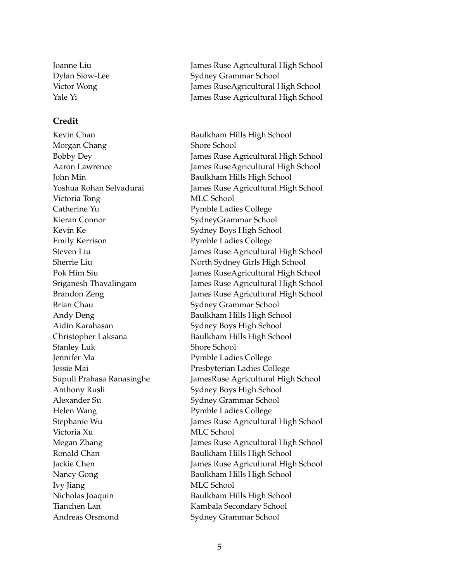### **Credit**

Kevin Chan Baulkham Hills High School Morgan Chang Shore School John Min **Baulkham Hills High School** Victoria Tong MLC School Catherine Yu Pymble Ladies College Kieran Connor SydneyGrammar School Kevin Ke Sydney Boys High School Emily Kerrison Pymble Ladies College Brian Chau Sydney Grammar School Andy Deng Baulkham Hills High School Aidin Karahasan Sydney Boys High School Christopher Laksana Baulkham Hills High School Stanley Luk Shore School Jennifer Ma Pymble Ladies College Jessie Mai Presbyterian Ladies College Anthony Rusli Sydney Boys High School Alexander Su Sydney Grammar School Helen Wang Pymble Ladies College Victoria Xu MLC School Ronald Chan Baulkham Hills High School Nancy Gong Baulkham Hills High School Ivy Jiang MLC School Nicholas Joaquin Baulkham Hills High School Tianchen Lan Kambala Secondary School

Joanne Liu James Ruse Agricultural High School Dylan Siow-Lee Sydney Grammar School Victor Wong James RuseAgricultural High School Yale Yi James Ruse Agricultural High School

Bobby Dey James Ruse Agricultural High School Aaron Lawrence James RuseAgricultural High School Yoshua Rohan Selvadurai James Ruse Agricultural High School Steven Liu James Ruse Agricultural High School Sherrie Liu North Sydney Girls High School Pok Him Siu James RuseAgricultural High School Sriganesh Thavalingam James Ruse Agricultural High School Brandon Zeng James Ruse Agricultural High School Supuli Prahasa Ranasinghe JamesRuse Agricultural High School Stephanie Wu James Ruse Agricultural High School Megan Zhang James Ruse Agricultural High School Jackie Chen James Ruse Agricultural High School Andreas Orsmond Sydney Grammar School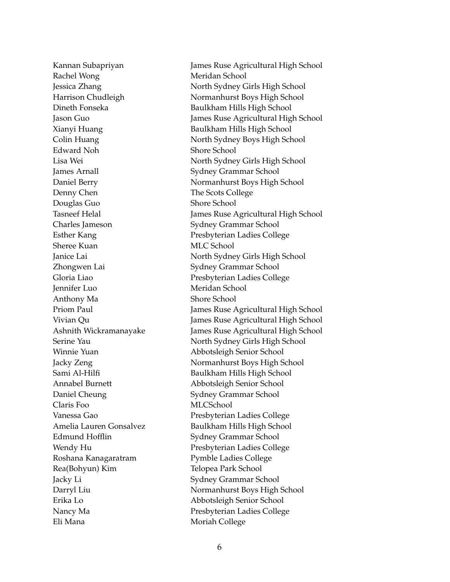Rachel Wong Meridan School Edward Noh Shore School James Arnall Sydney Grammar School Denny Chen The Scots College Douglas Guo Shore School Charles Jameson Sydney Grammar School Sheree Kuan MLC School Zhongwen Lai Sydney Grammar School Jennifer Luo Meridan School Anthony Ma Shore School Winnie Yuan Abbotsleigh Senior School Annabel Burnett Abbotsleigh Senior School Daniel Cheung Sydney Grammar School Claris Foo MLCSchool Edmund Hofflin Sydney Grammar School Roshana Kanagaratram Pymble Ladies College Rea(Bohyun) Kim Telopea Park School Jacky Li Sydney Grammar School Erika Lo Abbotsleigh Senior School

Kannan Subapriyan James Ruse Agricultural High School Jessica Zhang North Sydney Girls High School Harrison Chudleigh Normanhurst Boys High School Dineth Fonseka Baulkham Hills High School Jason Guo James Ruse Agricultural High School Xianyi Huang Baulkham Hills High School Colin Huang North Sydney Boys High School Lisa Wei North Sydney Girls High School Daniel Berry Normanhurst Boys High School Tasneef Helal **James Ruse Agricultural High School** Esther Kang Presbyterian Ladies College Janice Lai North Sydney Girls High School Gloria Liao Presbyterian Ladies College Priom Paul James Ruse Agricultural High School Vivian Qu James Ruse Agricultural High School Ashnith Wickramanayake James Ruse Agricultural High School Serine Yau North Sydney Girls High School Jacky Zeng Normanhurst Boys High School Sami Al-Hilfi Baulkham Hills High School Vanessa Gao **Presbyterian Ladies College** Amelia Lauren Gonsalvez Baulkham Hills High School Wendy Hu Presbyterian Ladies College Darryl Liu Normanhurst Boys High School Nancy Ma<br>
Presbyterian Ladies College Eli Mana **Moriah College**